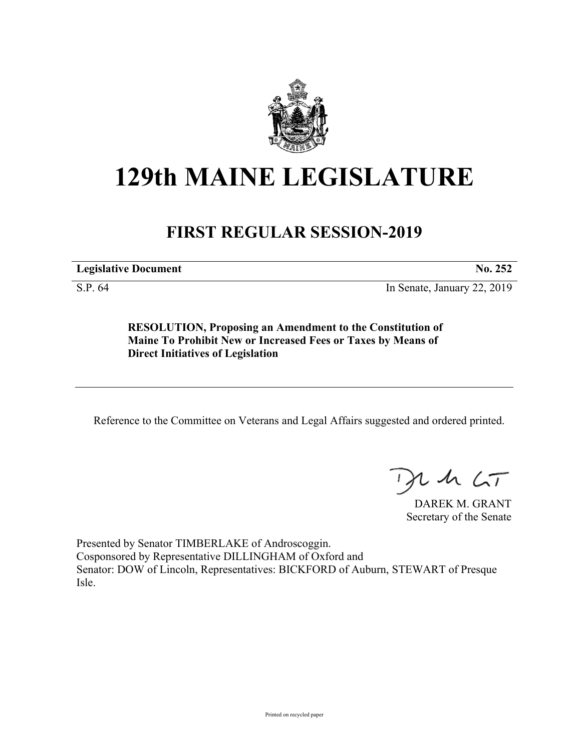

## **129th MAINE LEGISLATURE**

## **FIRST REGULAR SESSION-2019**

**Legislative Document No. 252**

S.P. 64 In Senate, January 22, 2019

**RESOLUTION, Proposing an Amendment to the Constitution of Maine To Prohibit New or Increased Fees or Taxes by Means of Direct Initiatives of Legislation**

Reference to the Committee on Veterans and Legal Affairs suggested and ordered printed.

 $125$ 

DAREK M. GRANT Secretary of the Senate

Presented by Senator TIMBERLAKE of Androscoggin. Cosponsored by Representative DILLINGHAM of Oxford and Senator: DOW of Lincoln, Representatives: BICKFORD of Auburn, STEWART of Presque Isle.